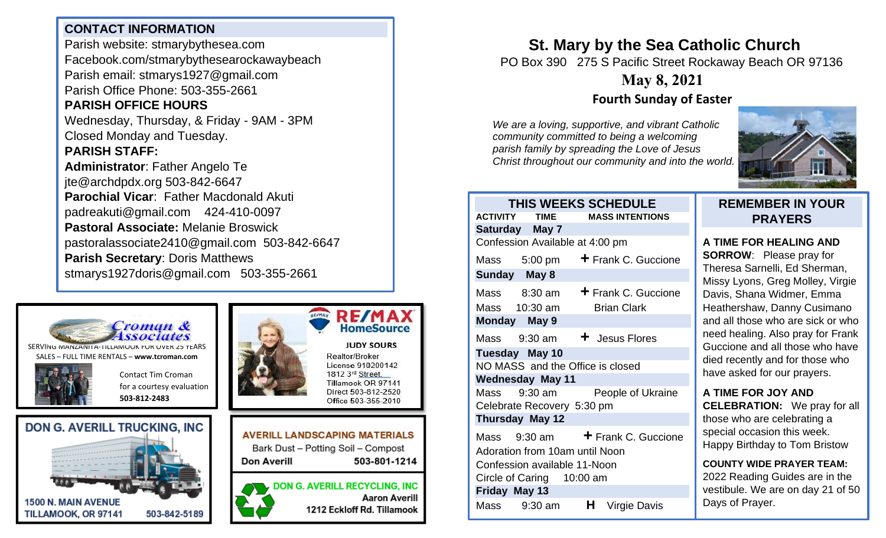## **CONTACT INFORMATION**

Parish website: stmarybythesea.com Facebook.com/stmarybythesearockawaybeach Parish email: stmarys1927@gmail.com Parish Office Phone: 503-355-2661

# **PARISH OFFICE HOURS**

Wednesday, Thursday, & Friday - 9AM - 3PM Closed Monday and Tuesday.

#### **PARISH STAFF:**

**Administrator**: Father Angelo Te jte@archdpdx.org 503-842-6647 **Parochial Vicar**: Father Macdonald Akuti padreakuti@gmail.com 424-410-0097 **Pastoral Associate:** Melanie Broswick pastoralassociate2410@gmail.com 503-842-6647 **Parish Secretary**: Doris Matthews stmarys1927doris@gmail.com 503-355-2661



SERVING MANZANITA-TILLAMOOK FOR OVER 25 YEARS SALES – FULL TIME RENTALS – **[www.tcroman.com](http://www.tcroman.com/)**

> Contact Tim Croman for a courtesy evaluation

**503-812-2483**









Direct 503-812-2520 Office 503-355-2010 **AVERILL LANDSCAPING MATERIALS** Bark Dust - Potting Soil - Compost

**Don Averill** 503-801-1214

**DON G. AVERILL RECYCLING, INC Aaron Averill** 1212 Eckloff Rd. Tillamook

# **St. Mary by the Sea Catholic Church**

PO Box 390 275 S Pacific Street Rockaway Beach OR 97136

# **May 8, 2021**

## **Fourth Sunday of Easter**

*We are a loving, supportive, and vibrant Catholic community committed to being a welcoming parish family by spreading the Love of Jesus Christ throughout our community and into the world.*



#### **THIS WEEKS SCHEDULE ACTIVITY TIME MASS INTENTIONS Saturday May 7**  Confession Available at 4:00 pm Mass 5:00 pm **+** Frank C. Guccione **Sunday May 8**  Mass 8:30 am **+** Frank C. Guccione Mass 10:30 am Brian Clark **Monday May 9**  Mass 9:30 am  $\div$  Jesus Flores **Tuesday May 10**  NO MASS and the Office is closed **Wednesday May 11**  Mass 9:30 am People of Ukraine Celebrate Recovery 5:30 pm **Thursday May 12** Mass 9:30 am **+** Frank C. Guccione Adoration from 10am until Noon Confession available 11-Noon Circle of Caring 10:00 am **Friday May 13** Mass 9:30 am **H** Virgie Davis

#### **REMEMBER IN YOUR PRAYERS**

### **A TIME FOR HEALING AND**

**SORROW**: Please pray for Theresa Sarnelli, Ed Sherman, Missy Lyons, Greg Molley, Virgie Davis, Shana Widmer, Emma Heathershaw, Danny Cusimano and all those who are sick or who need healing. Also pray for Frank Guccione and all those who have died recently and for those who have asked for our prayers.

**A TIME FOR JOY AND CELEBRATION:** We pray for all those who are celebrating a special occasion this week. Happy Birthday to Tom Bristow

**COUNTY WIDE PRAYER TEAM:** 2022 Reading Guides are in the vestibule. We are on day 21 of 50 Days of Prayer.